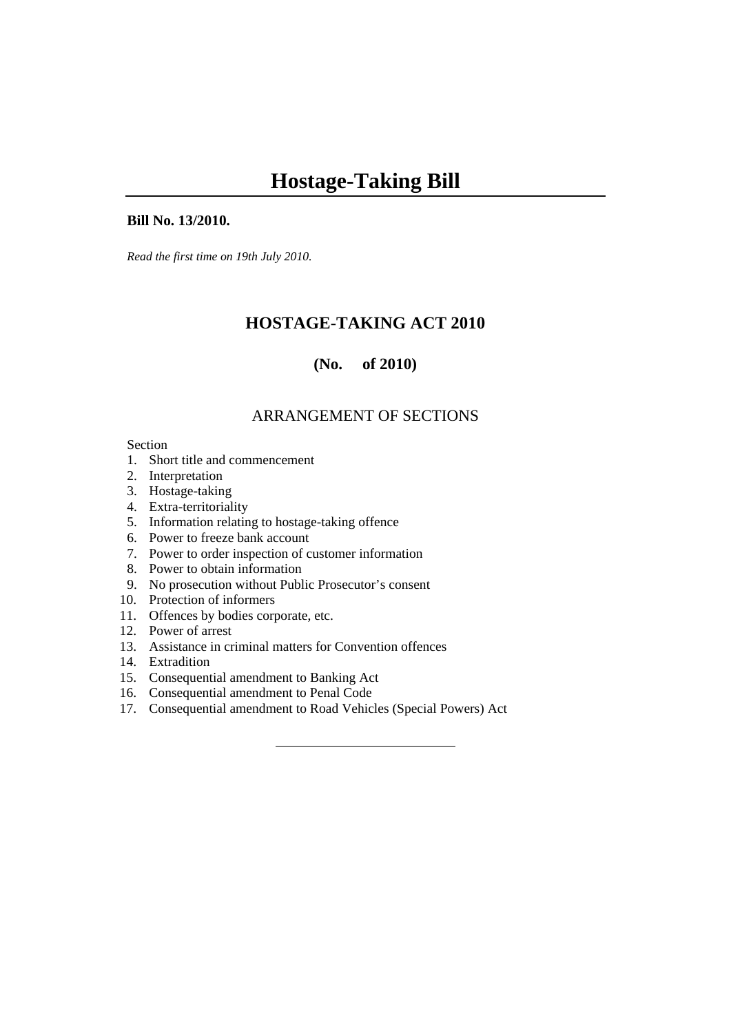#### **Bill No. 13/2010.**

*Read the first time on 19th July 2010.* 

# **HOSTAGE-TAKING ACT 2010**

# **(No. of 2010)**

# ARRANGEMENT OF SECTIONS

#### Section

- 1. Short title and commencement
- 2. Interpretation
- 3. Hostage-taking
- 4. Extra-territoriality
- 5. Information relating to hostage-taking offence
- 6. Power to freeze bank account
- 7. Power to order inspection of customer information
- 8. Power to obtain information
- 9. No prosecution without Public Prosecutor's consent
- 10. Protection of informers
- 11. Offences by bodies corporate, etc.
- 12. Power of arrest
- 13. Assistance in criminal matters for Convention offences
- 14. Extradition
- 15. Consequential amendment to Banking Act
- 16. Consequential amendment to Penal Code
- 17. Consequential amendment to Road Vehicles (Special Powers) Act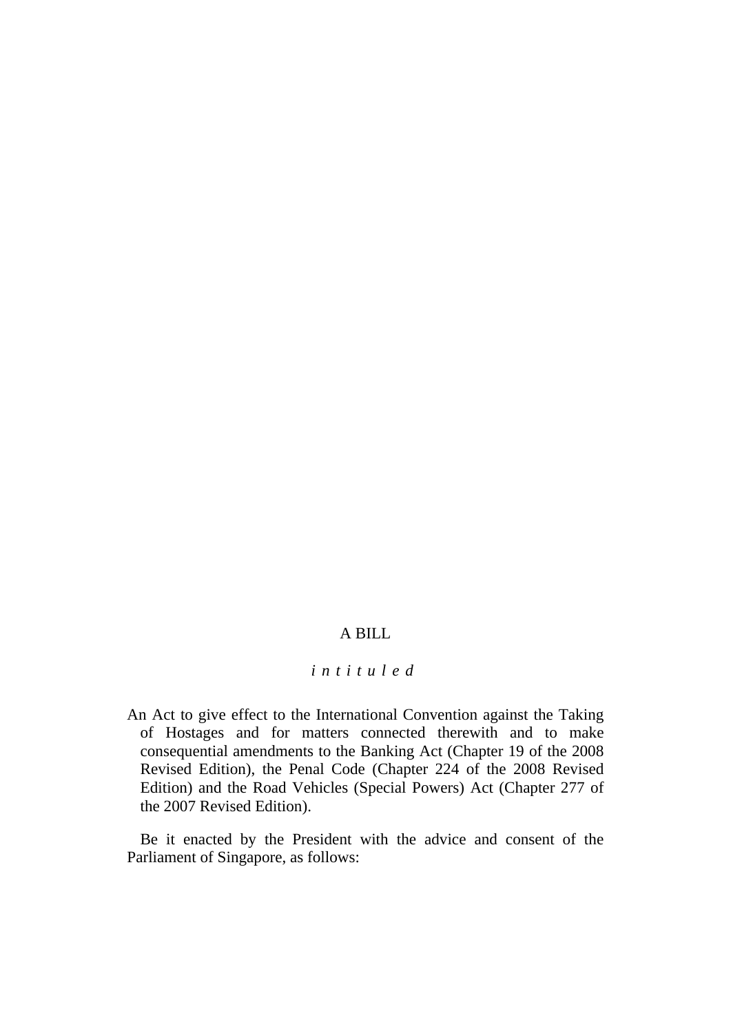## A BILL

# *intituled*

An Act to give effect to the International Convention against the Taking of Hostages and for matters connected therewith and to make consequential amendments to the Banking Act (Chapter 19 of the 2008 Revised Edition), the Penal Code (Chapter 224 of the 2008 Revised Edition) and the Road Vehicles (Special Powers) Act (Chapter 277 of the 2007 Revised Edition).

Be it enacted by the President with the advice and consent of the Parliament of Singapore, as follows: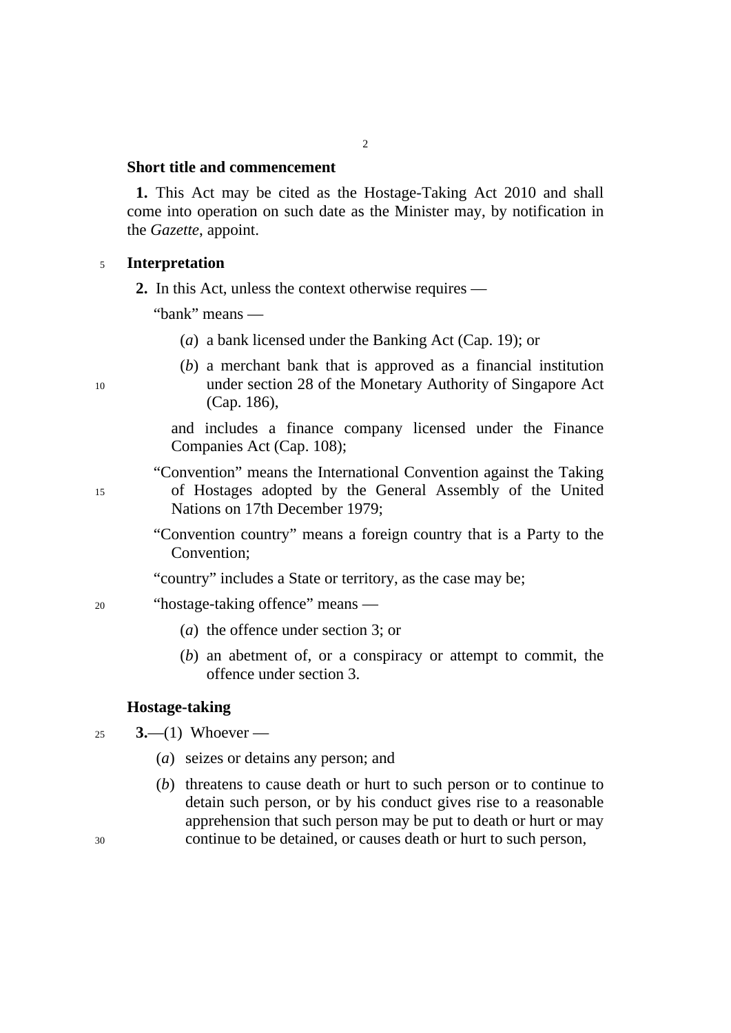#### **Short title and commencement**

**1.** This Act may be cited as the Hostage-Taking Act 2010 and shall come into operation on such date as the Minister may, by notification in the *Gazette*, appoint.

 $\overline{2}$ 

#### <sup>5</sup>**Interpretation**

**2.** In this Act, unless the context otherwise requires —

"bank" means —

- (*a*) a bank licensed under the Banking Act (Cap. 19); or
- (*b*) a merchant bank that is approved as a financial institution under section 28 of the Monetary Authority of Singapore Act (Cap. 186),

and includes a finance company licensed under the Finance Companies Act (Cap. 108);

- "Convention" means the International Convention against the Taking of Hostages adopted by the General Assembly of the United Nations on 17th December 1979;
	- "Convention country" means a foreign country that is a Party to the Convention;
	- "country" includes a State or territory, as the case may be;
- 20 "hostage-taking offence" means —
	- (*a*) the offence under section 3; or
	- (*b*) an abetment of, or a conspiracy or attempt to commit, the offence under section 3.

### **Hostage-taking**

25 **3.**—(1) Whoever —

- (*a*) seizes or detains any person; and
- (*b*) threatens to cause death or hurt to such person or to continue to detain such person, or by his conduct gives rise to a reasonable apprehension that such person may be put to death or hurt or may continue to be detained, or causes death or hurt to such person,

10

15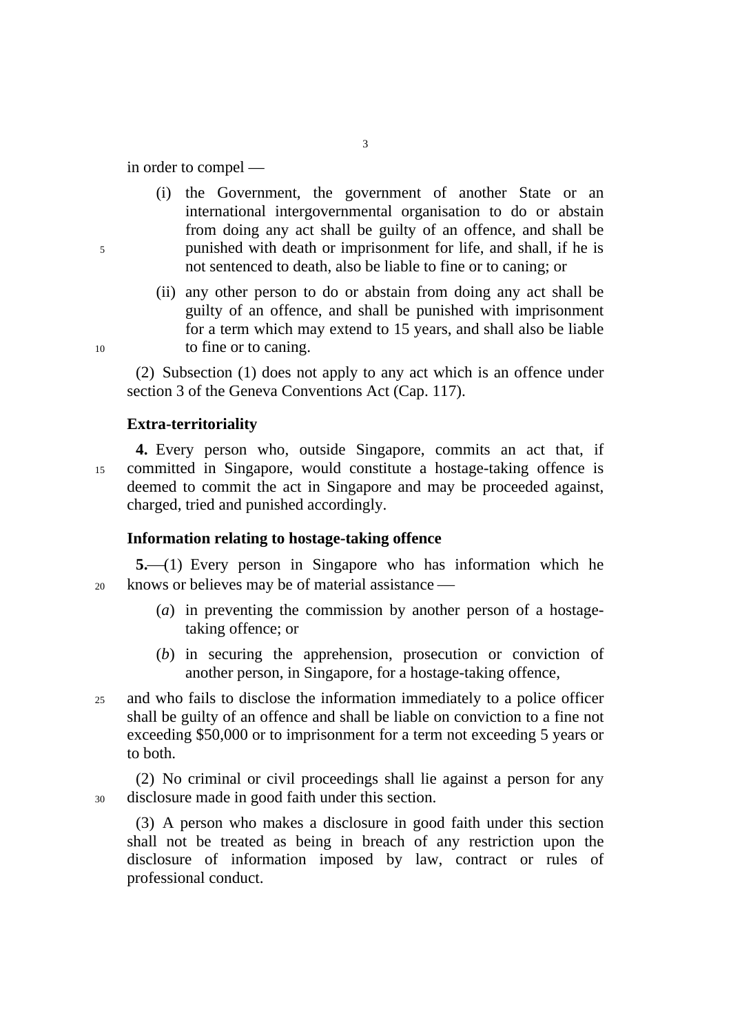in order to compel —

- (i) the Government, the government of another State or an international intergovernmental organisation to do or abstain from doing any act shall be guilty of an offence, and shall be punished with death or imprisonment for life, and shall, if he is not sentenced to death, also be liable to fine or to caning; or
- (ii) any other person to do or abstain from doing any act shall be guilty of an offence, and shall be punished with imprisonment for a term which may extend to 15 years, and shall also be liable to fine or to caning.

(2) Subsection (1) does not apply to any act which is an offence under section 3 of the Geneva Conventions Act (Cap. 117).

### **Extra-territoriality**

15 **4.** Every person who, outside Singapore, commits an act that, if committed in Singapore, would constitute a hostage-taking offence is deemed to commit the act in Singapore and may be proceeded against, charged, tried and punished accordingly.

#### **Information relating to hostage-taking offence**

20 **5.** (1) Every person in Singapore who has information which he knows or believes may be of material assistance  $\frac{1}{\sqrt{2\pi}}$ 

- (*a*) in preventing the commission by another person of a hostagetaking offence; or
- (*b*) in securing the apprehension, prosecution or conviction of another person, in Singapore, for a hostage-taking offence,
- 25 and who fails to disclose the information immediately to a police officer shall be guilty of an offence and shall be liable on conviction to a fine not exceeding \$50,000 or to imprisonment for a term not exceeding 5 years or to both.

30 (2) No criminal or civil proceedings shall lie against a person for any disclosure made in good faith under this section.

(3) A person who makes a disclosure in good faith under this section shall not be treated as being in breach of any restriction upon the disclosure of information imposed by law, contract or rules of professional conduct.

10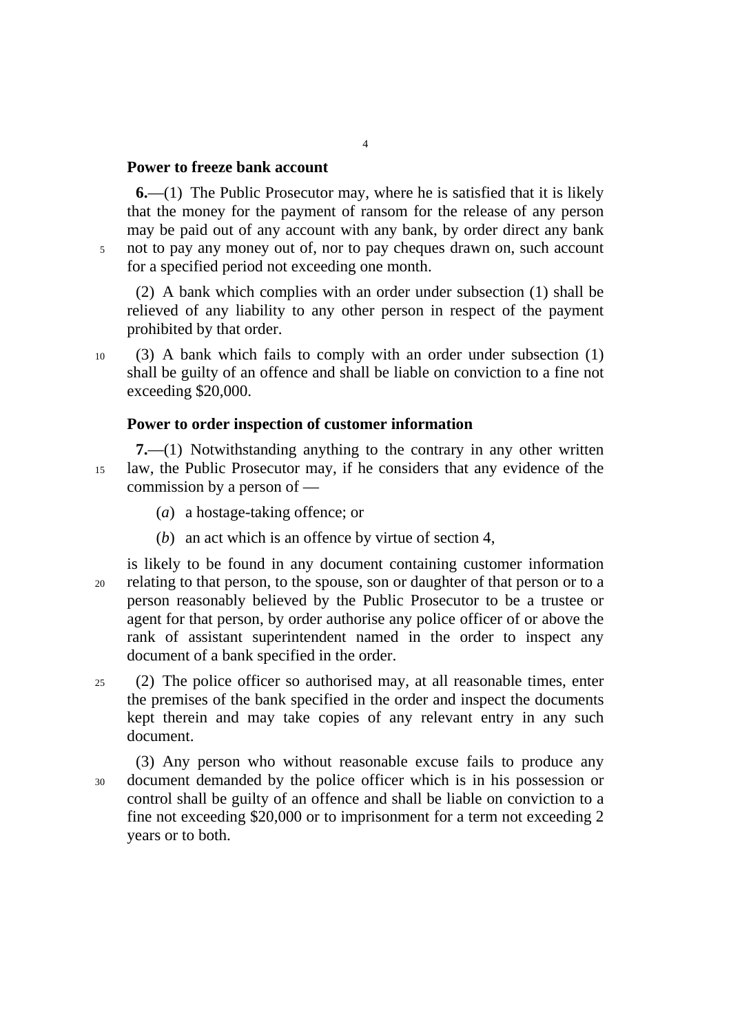## **Power to freeze bank account**

5

**6.**—(1) The Public Prosecutor may, where he is satisfied that it is likely that the money for the payment of ransom for the release of any person may be paid out of any account with any bank, by order direct any bank not to pay any money out of, nor to pay cheques drawn on, such account for a specified period not exceeding one month.

(2) A bank which complies with an order under subsection (1) shall be relieved of any liability to any other person in respect of the payment prohibited by that order.

10 (3) A bank which fails to comply with an order under subsection (1) shall be guilty of an offence and shall be liable on conviction to a fine not exceeding \$20,000.

#### **Power to order inspection of customer information**

15 **7.**—(1) Notwithstanding anything to the contrary in any other written law, the Public Prosecutor may, if he considers that any evidence of the commission by a person of —

- (*a*) a hostage-taking offence; or
- (*b*) an act which is an offence by virtue of section 4,
- 20 is likely to be found in any document containing customer information relating to that person, to the spouse, son or daughter of that person or to a person reasonably believed by the Public Prosecutor to be a trustee or agent for that person, by order authorise any police officer of or above the rank of assistant superintendent named in the order to inspect any document of a bank specified in the order.
- 25 (2) The police officer so authorised may, at all reasonable times, enter the premises of the bank specified in the order and inspect the documents kept therein and may take copies of any relevant entry in any such document.
- 30 (3) Any person who without reasonable excuse fails to produce any document demanded by the police officer which is in his possession or control shall be guilty of an offence and shall be liable on conviction to a fine not exceeding \$20,000 or to imprisonment for a term not exceeding 2 years or to both.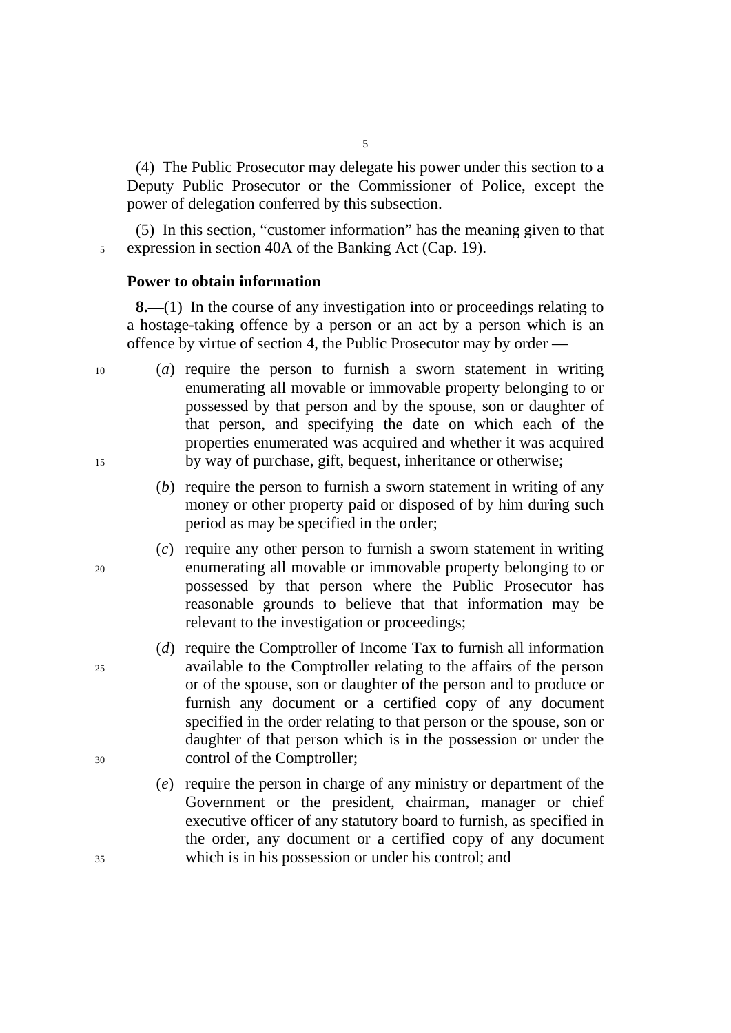(4) The Public Prosecutor may delegate his power under this section to a Deputy Public Prosecutor or the Commissioner of Police, except the power of delegation conferred by this subsection.

(5) In this section, "customer information" has the meaning given to that 5 expression in section 40A of the Banking Act (Cap. 19).

### **Power to obtain information**

**8.**—(1) In the course of any investigation into or proceedings relating to a hostage-taking offence by a person or an act by a person which is an offence by virtue of section 4, the Public Prosecutor may by order —

- (*a*) require the person to furnish a sworn statement in writing enumerating all movable or immovable property belonging to or possessed by that person and by the spouse, son or daughter of that person, and specifying the date on which each of the properties enumerated was acquired and whether it was acquired by way of purchase, gift, bequest, inheritance or otherwise;
	- (*b*) require the person to furnish a sworn statement in writing of any money or other property paid or disposed of by him during such period as may be specified in the order;
	- (*c*) require any other person to furnish a sworn statement in writing enumerating all movable or immovable property belonging to or possessed by that person where the Public Prosecutor has reasonable grounds to believe that that information may be relevant to the investigation or proceedings;
	- (*d*) require the Comptroller of Income Tax to furnish all information available to the Comptroller relating to the affairs of the person or of the spouse, son or daughter of the person and to produce or furnish any document or a certified copy of any document specified in the order relating to that person or the spouse, son or daughter of that person which is in the possession or under the control of the Comptroller;
		- (*e*) require the person in charge of any ministry or department of the Government or the president, chairman, manager or chief executive officer of any statutory board to furnish, as specified in the order, any document or a certified copy of any document which is in his possession or under his control; and

15

20

10

30

35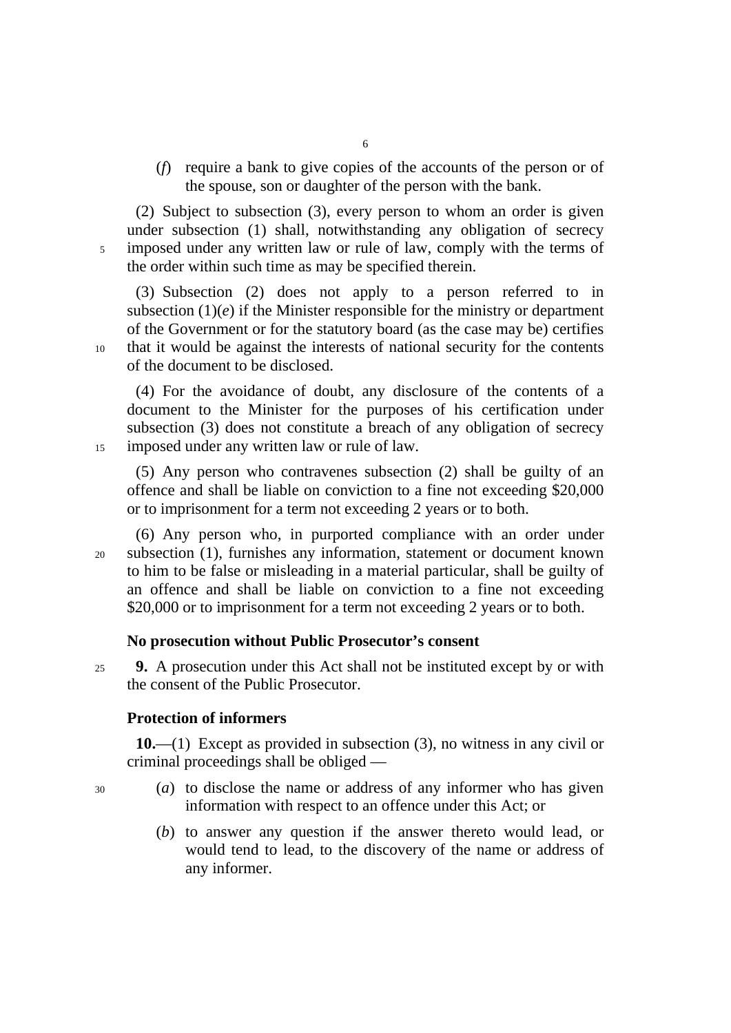(*f*) require a bank to give copies of the accounts of the person or of the spouse, son or daughter of the person with the bank.

(2) Subject to subsection (3), every person to whom an order is given under subsection (1) shall, notwithstanding any obligation of secrecy imposed under any written law or rule of law, comply with the terms of the order within such time as may be specified therein.

(3) Subsection (2) does not apply to a person referred to in subsection  $(1)(e)$  if the Minister responsible for the ministry or department of the Government or for the statutory board (as the case may be) certifies that it would be against the interests of national security for the contents of the document to be disclosed.

(4) For the avoidance of doubt, any disclosure of the contents of a document to the Minister for the purposes of his certification under subsection (3) does not constitute a breach of any obligation of secrecy imposed under any written law or rule of law.

(5) Any person who contravenes subsection (2) shall be guilty of an offence and shall be liable on conviction to a fine not exceeding \$20,000 or to imprisonment for a term not exceeding 2 years or to both.

(6) Any person who, in purported compliance with an order under subsection (1), furnishes any information, statement or document known to him to be false or misleading in a material particular, shall be guilty of an offence and shall be liable on conviction to a fine not exceeding \$20,000 or to imprisonment for a term not exceeding 2 years or to both.

#### **No prosecution without Public Prosecutor's consent**

25 **9.** A prosecution under this Act shall not be instituted except by or with the consent of the Public Prosecutor.

## **Protection of informers**

**10.**—(1) Except as provided in subsection (3), no witness in any civil or criminal proceedings shall be obliged —

30

5

10

15

- (*a*) to disclose the name or address of any informer who has given information with respect to an offence under this Act; or
- (*b*) to answer any question if the answer thereto would lead, or would tend to lead, to the discovery of the name or address of any informer.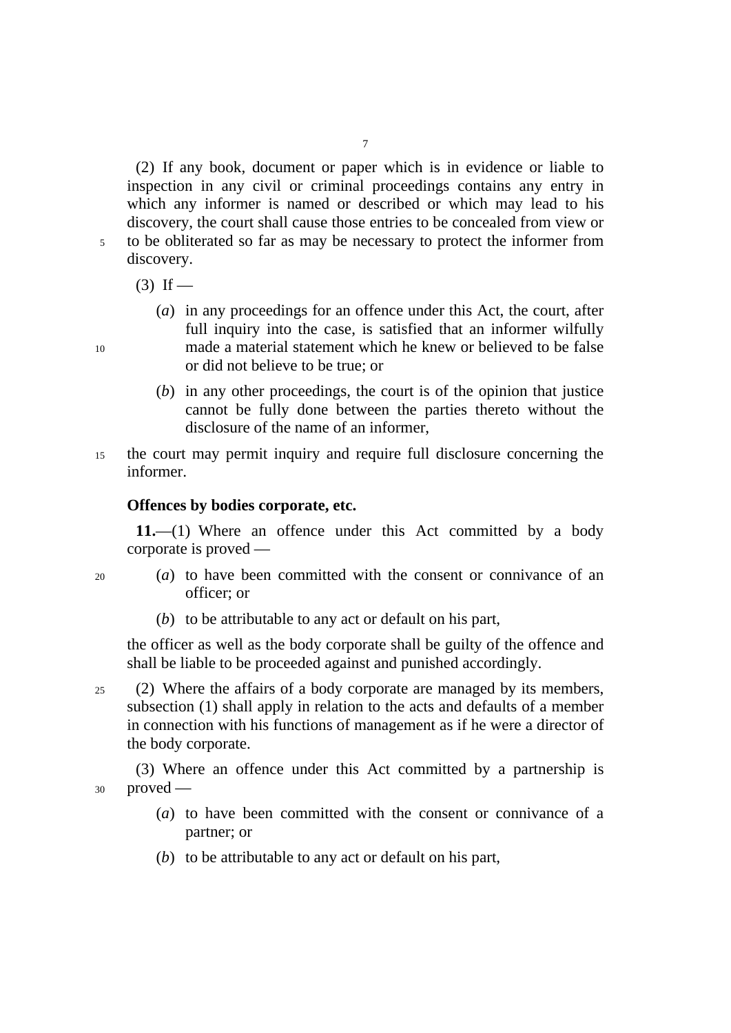(2) If any book, document or paper which is in evidence or liable to inspection in any civil or criminal proceedings contains any entry in which any informer is named or described or which may lead to his discovery, the court shall cause those entries to be concealed from view or to be obliterated so far as may be necessary to protect the informer from

- discovery.  $(3)$  If —
	- (*a*) in any proceedings for an offence under this Act, the court, after full inquiry into the case, is satisfied that an informer wilfully made a material statement which he knew or believed to be false or did not believe to be true; or
	- (*b*) in any other proceedings, the court is of the opinion that justice cannot be fully done between the parties thereto without the disclosure of the name of an informer,
- 15 the court may permit inquiry and require full disclosure concerning the informer.

#### **Offences by bodies corporate, etc.**

**11.**—(1) Where an offence under this Act committed by a body corporate is proved —

- (*a*) to have been committed with the consent or connivance of an officer; or
	- (*b*) to be attributable to any act or default on his part,

the officer as well as the body corporate shall be guilty of the offence and shall be liable to be proceeded against and punished accordingly.

25 (2) Where the affairs of a body corporate are managed by its members, subsection (1) shall apply in relation to the acts and defaults of a member in connection with his functions of management as if he were a director of the body corporate.

30 (3) Where an offence under this Act committed by a partnership is proved —

- (*a*) to have been committed with the consent or connivance of a partner; or
- (*b*) to be attributable to any act or default on his part,

10

 $20$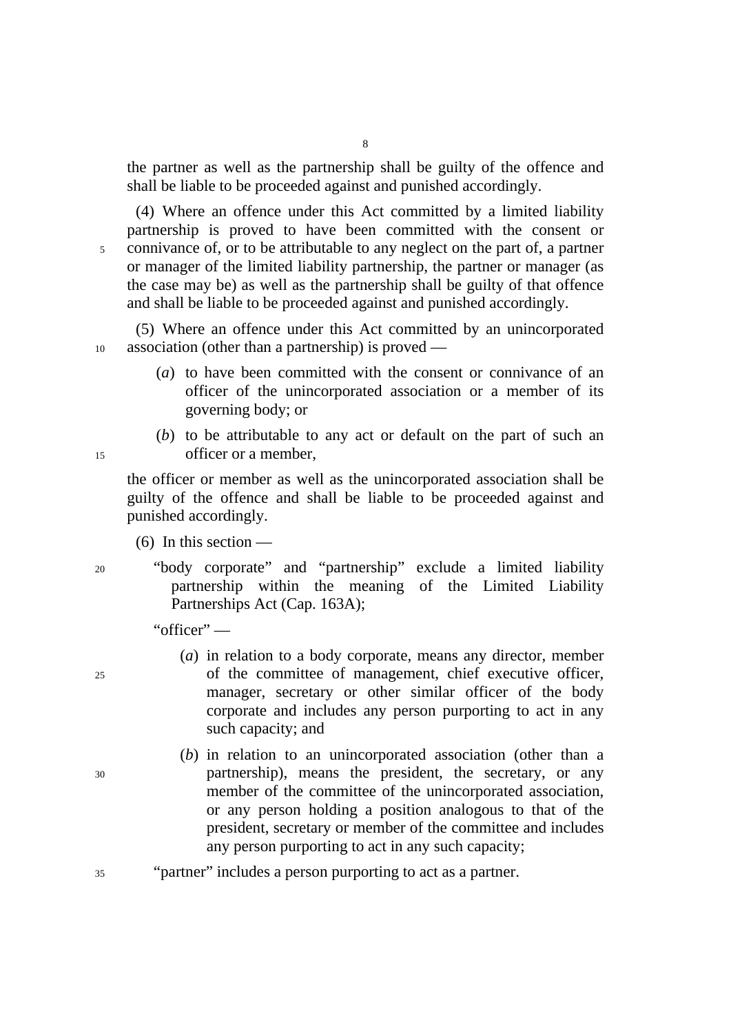the partner as well as the partnership shall be guilty of the offence and shall be liable to be proceeded against and punished accordingly.

(4) Where an offence under this Act committed by a limited liability partnership is proved to have been committed with the consent or connivance of, or to be attributable to any neglect on the part of, a partner or manager of the limited liability partnership, the partner or manager (as the case may be) as well as the partnership shall be guilty of that offence and shall be liable to be proceeded against and punished accordingly.

10 (5) Where an offence under this Act committed by an unincorporated association (other than a partnership) is proved —

- (*a*) to have been committed with the consent or connivance of an officer of the unincorporated association or a member of its governing body; or
- (*b*) to be attributable to any act or default on the part of such an officer or a member,

the officer or member as well as the unincorporated association shall be guilty of the offence and shall be liable to be proceeded against and punished accordingly.

- $(6)$  In this section —
- 20
- 
- "body corporate" and "partnership" exclude a limited liability partnership within the meaning of the Limited Liability Partnerships Act (Cap. 163A);

"officer" —

- (*a*) in relation to a body corporate, means any director, member of the committee of management, chief executive officer, manager, secretary or other similar officer of the body corporate and includes any person purporting to act in any such capacity; and
- (*b*) in relation to an unincorporated association (other than a partnership), means the president, the secretary, or any member of the committee of the unincorporated association, or any person holding a position analogous to that of the president, secretary or member of the committee and includes any person purporting to act in any such capacity;
- "partner" includes a person purporting to act as a partner.

15

5

30

 $25$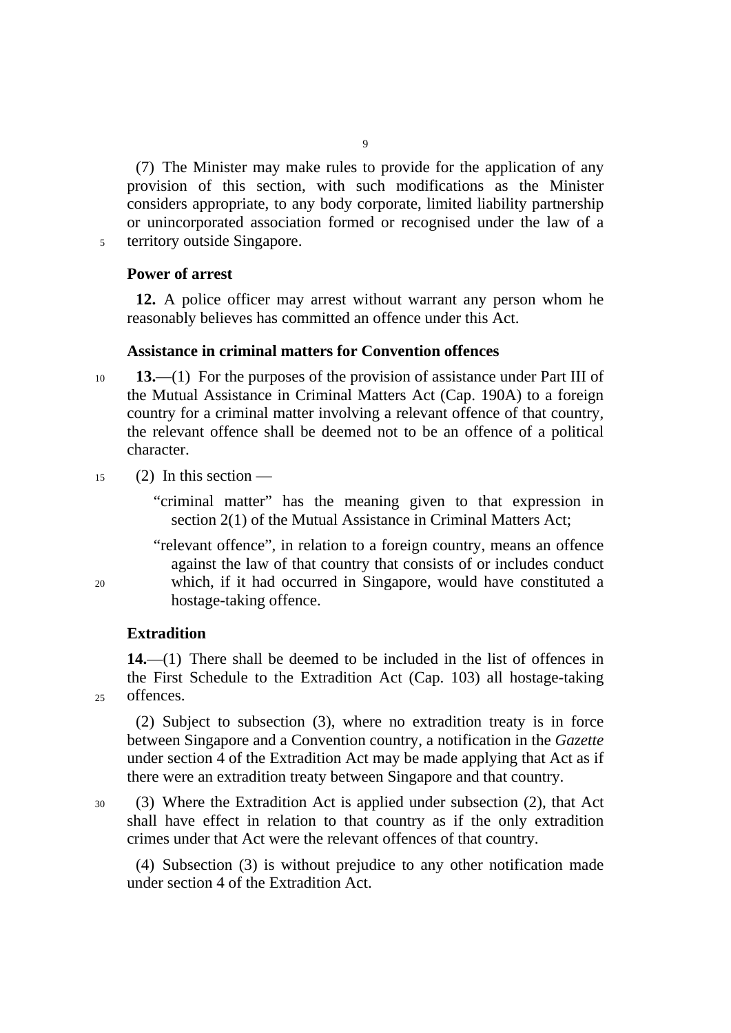(7) The Minister may make rules to provide for the application of any provision of this section, with such modifications as the Minister considers appropriate, to any body corporate, limited liability partnership or unincorporated association formed or recognised under the law of a 5 territory outside Singapore.

9

### **Power of arrest**

**12.** A police officer may arrest without warrant any person whom he reasonably believes has committed an offence under this Act.

### **Assistance in criminal matters for Convention offences**

- 10 **13.**—(1) For the purposes of the provision of assistance under Part III of the Mutual Assistance in Criminal Matters Act (Cap. 190A) to a foreign country for a criminal matter involving a relevant offence of that country, the relevant offence shall be deemed not to be an offence of a political character.
- 15 (2) In this section —

"criminal matter" has the meaning given to that expression in section 2(1) of the Mutual Assistance in Criminal Matters Act;

"relevant offence", in relation to a foreign country, means an offence against the law of that country that consists of or includes conduct which, if it had occurred in Singapore, would have constituted a hostage-taking offence.

## **Extradition**

**14.**—(1) There shall be deemed to be included in the list of offences in the First Schedule to the Extradition Act (Cap. 103) all hostage-taking offences.

(2) Subject to subsection (3), where no extradition treaty is in force between Singapore and a Convention country, a notification in the *Gazette* under section 4 of the Extradition Act may be made applying that Act as if there were an extradition treaty between Singapore and that country.

30 (3) Where the Extradition Act is applied under subsection (2), that Act shall have effect in relation to that country as if the only extradition crimes under that Act were the relevant offences of that country.

(4) Subsection (3) is without prejudice to any other notification made under section 4 of the Extradition Act.

20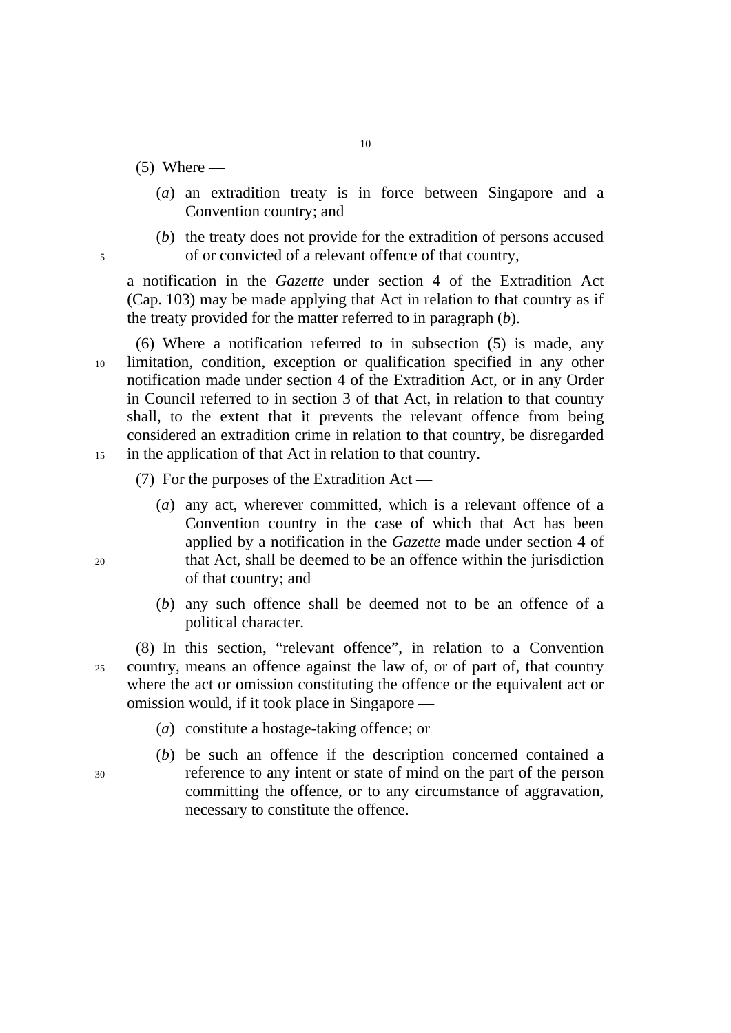- $(5)$  Where
	- (*a*) an extradition treaty is in force between Singapore and a Convention country; and
- (*b*) the treaty does not provide for the extradition of persons accused 5 of or convicted of a relevant offence of that country,

a notification in the *Gazette* under section 4 of the Extradition Act (Cap. 103) may be made applying that Act in relation to that country as if the treaty provided for the matter referred to in paragraph (*b*).

10 15 (6) Where a notification referred to in subsection (5) is made, any limitation, condition, exception or qualification specified in any other notification made under section 4 of the Extradition Act, or in any Order in Council referred to in section 3 of that Act, in relation to that country shall, to the extent that it prevents the relevant offence from being considered an extradition crime in relation to that country, be disregarded in the application of that Act in relation to that country.

- (7) For the purposes of the Extradition Act
	- (*a*) any act, wherever committed, which is a relevant offence of a Convention country in the case of which that Act has been applied by a notification in the *Gazette* made under section 4 of that Act, shall be deemed to be an offence within the jurisdiction of that country; and
	- (*b*) any such offence shall be deemed not to be an offence of a political character.

25 (8) In this section, "relevant offence", in relation to a Convention country, means an offence against the law of, or of part of, that country where the act or omission constituting the offence or the equivalent act or omission would, if it took place in Singapore —

- (*a*) constitute a hostage-taking offence; or
- (*b*) be such an offence if the description concerned contained a reference to any intent or state of mind on the part of the person committing the offence, or to any circumstance of aggravation, necessary to constitute the offence.

 $20$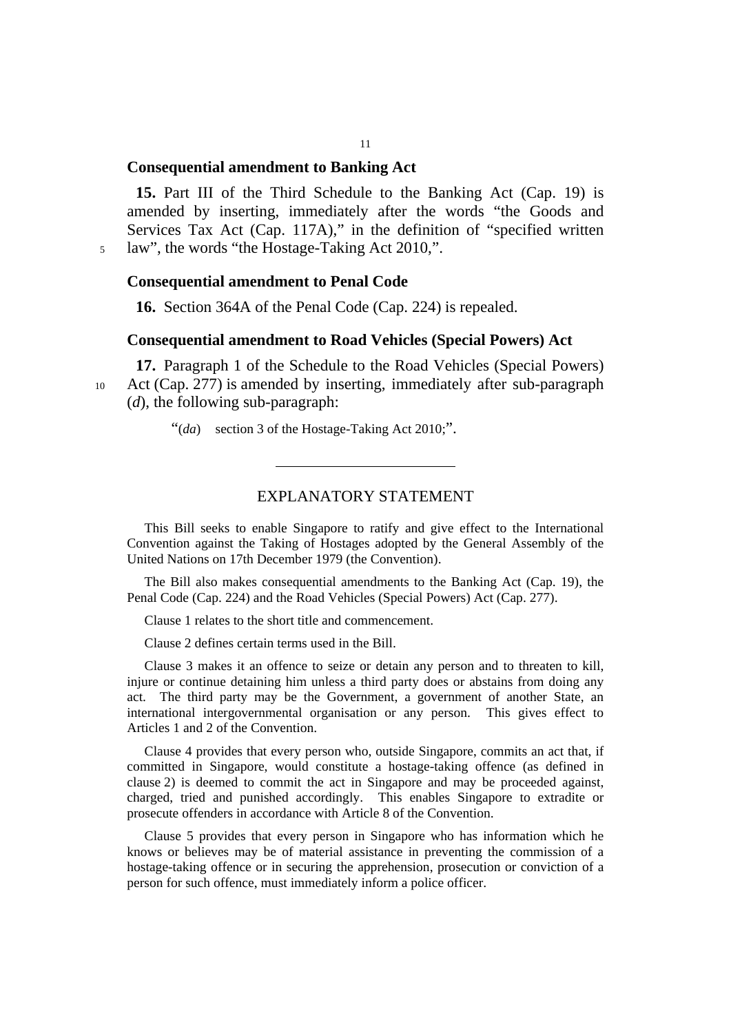## **Consequential amendment to Banking Act**

**15.** Part III of the Third Schedule to the Banking Act (Cap. 19) is amended by inserting, immediately after the words "the Goods and Services Tax Act (Cap. 117A)," in the definition of "specified written 5 law", the words "the Hostage-Taking Act 2010,".

#### **Consequential amendment to Penal Code**

10

**16.** Section 364A of the Penal Code (Cap. 224) is repealed.

## **Consequential amendment to Road Vehicles (Special Powers) Act**

**17.** Paragraph 1 of the Schedule to the Road Vehicles (Special Powers) Act (Cap. 277) is amended by inserting, immediately after sub-paragraph (*d*), the following sub-paragraph:

"(*da*) section 3 of the Hostage-Taking Act 2010;".

#### EXPLANATORY STATEMENT

This Bill seeks to enable Singapore to ratify and give effect to the International Convention against the Taking of Hostages adopted by the General Assembly of the United Nations on 17th December 1979 (the Convention).

The Bill also makes consequential amendments to the Banking Act (Cap. 19), the Penal Code (Cap. 224) and the Road Vehicles (Special Powers) Act (Cap. 277).

Clause 1 relates to the short title and commencement.

Clause 2 defines certain terms used in the Bill.

Clause 3 makes it an offence to seize or detain any person and to threaten to kill, injure or continue detaining him unless a third party does or abstains from doing any act. The third party may be the Government, a government of another State, an international intergovernmental organisation or any person. This gives effect to Articles 1 and 2 of the Convention.

Clause 4 provides that every person who, outside Singapore, commits an act that, if committed in Singapore, would constitute a hostage-taking offence (as defined in clause 2) is deemed to commit the act in Singapore and may be proceeded against, charged, tried and punished accordingly. This enables Singapore to extradite or prosecute offenders in accordance with Article 8 of the Convention.

Clause 5 provides that every person in Singapore who has information which he knows or believes may be of material assistance in preventing the commission of a hostage-taking offence or in securing the apprehension, prosecution or conviction of a person for such offence, must immediately inform a police officer.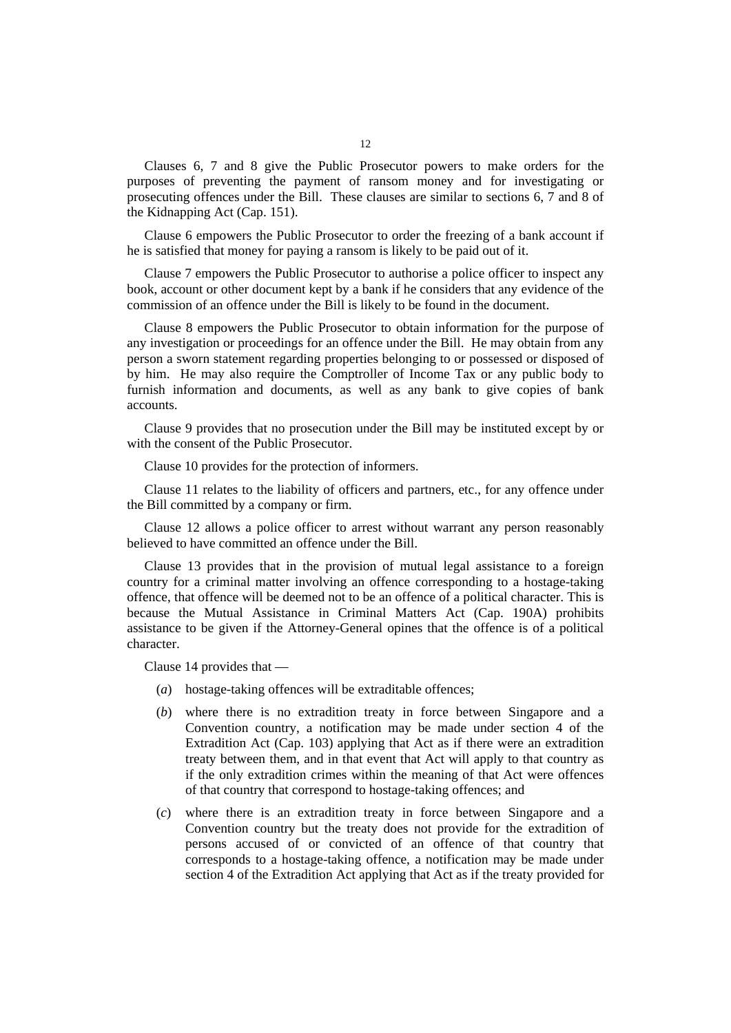Clauses 6, 7 and 8 give the Public Prosecutor powers to make orders for the purposes of preventing the payment of ransom money and for investigating or prosecuting offences under the Bill. These clauses are similar to sections 6, 7 and 8 of the Kidnapping Act (Cap. 151).

Clause 6 empowers the Public Prosecutor to order the freezing of a bank account if he is satisfied that money for paying a ransom is likely to be paid out of it.

Clause 7 empowers the Public Prosecutor to authorise a police officer to inspect any book, account or other document kept by a bank if he considers that any evidence of the commission of an offence under the Bill is likely to be found in the document.

Clause 8 empowers the Public Prosecutor to obtain information for the purpose of any investigation or proceedings for an offence under the Bill. He may obtain from any person a sworn statement regarding properties belonging to or possessed or disposed of by him. He may also require the Comptroller of Income Tax or any public body to furnish information and documents, as well as any bank to give copies of bank accounts.

Clause 9 provides that no prosecution under the Bill may be instituted except by or with the consent of the Public Prosecutor.

Clause 10 provides for the protection of informers.

Clause 11 relates to the liability of officers and partners, etc., for any offence under the Bill committed by a company or firm.

Clause 12 allows a police officer to arrest without warrant any person reasonably believed to have committed an offence under the Bill.

Clause 13 provides that in the provision of mutual legal assistance to a foreign country for a criminal matter involving an offence corresponding to a hostage-taking offence, that offence will be deemed not to be an offence of a political character. This is because the Mutual Assistance in Criminal Matters Act (Cap. 190A) prohibits assistance to be given if the Attorney-General opines that the offence is of a political character.

Clause 14 provides that —

- (*a*) hostage-taking offences will be extraditable offences;
- (*b*) where there is no extradition treaty in force between Singapore and a Convention country, a notification may be made under section 4 of the Extradition Act (Cap. 103) applying that Act as if there were an extradition treaty between them, and in that event that Act will apply to that country as if the only extradition crimes within the meaning of that Act were offences of that country that correspond to hostage-taking offences; and
- (*c*) where there is an extradition treaty in force between Singapore and a Convention country but the treaty does not provide for the extradition of persons accused of or convicted of an offence of that country that corresponds to a hostage-taking offence, a notification may be made under section 4 of the Extradition Act applying that Act as if the treaty provided for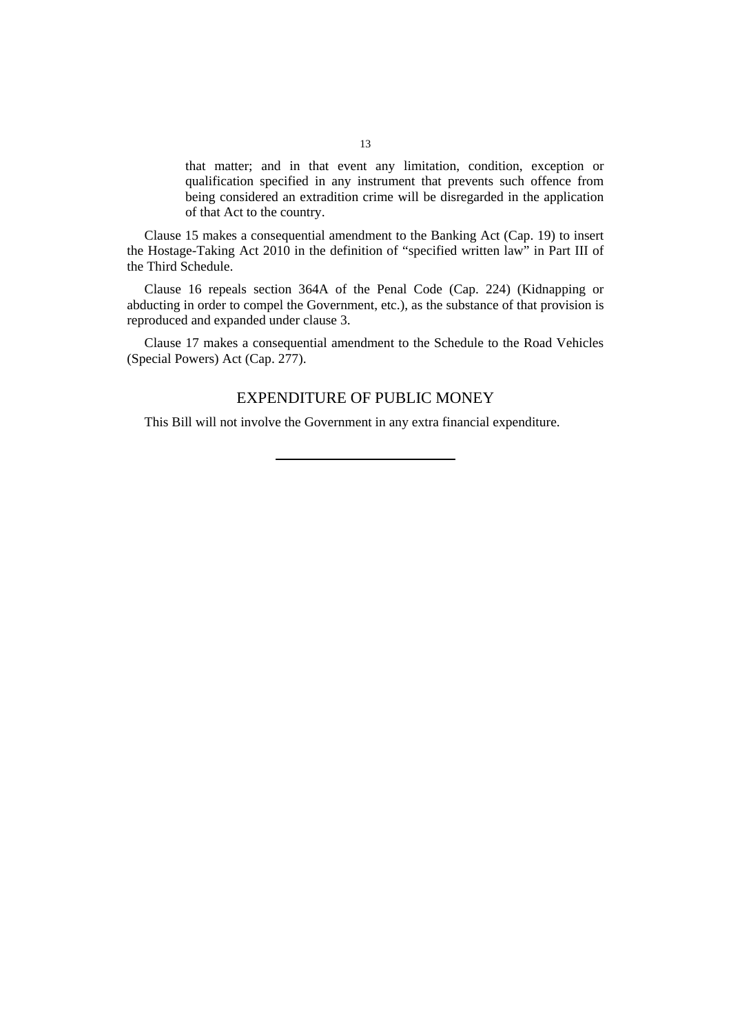that matter; and in that event any limitation, condition, exception or qualification specified in any instrument that prevents such offence from being considered an extradition crime will be disregarded in the application of that Act to the country.

Clause 15 makes a consequential amendment to the Banking Act (Cap. 19) to insert the Hostage-Taking Act 2010 in the definition of "specified written law" in Part III of the Third Schedule.

Clause 16 repeals section 364A of the Penal Code (Cap. 224) (Kidnapping or abducting in order to compel the Government, etc.), as the substance of that provision is reproduced and expanded under clause 3.

Clause 17 makes a consequential amendment to the Schedule to the Road Vehicles (Special Powers) Act (Cap. 277).

## EXPENDITURE OF PUBLIC MONEY

This Bill will not involve the Government in any extra financial expenditure.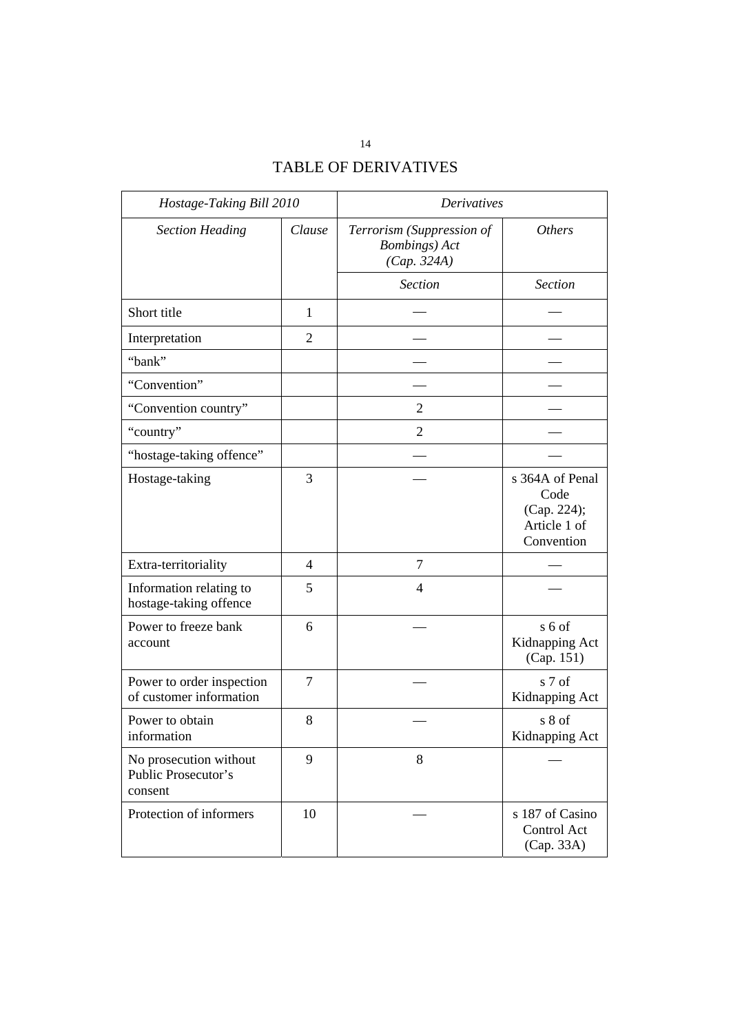# TABLE OF DERIVATIVES

| Hostage-Taking Bill 2010                                 |                | <b>Derivatives</b>                                                |                                                                      |
|----------------------------------------------------------|----------------|-------------------------------------------------------------------|----------------------------------------------------------------------|
| <b>Section Heading</b>                                   | Clause         | Terrorism (Suppression of<br><b>Bombings</b> ) Act<br>(Cap. 324A) | <b>Others</b>                                                        |
|                                                          |                | <b>Section</b>                                                    | <b>Section</b>                                                       |
| Short title                                              | $\mathbf{1}$   |                                                                   |                                                                      |
| Interpretation                                           | $\overline{2}$ |                                                                   |                                                                      |
| "bank"                                                   |                |                                                                   |                                                                      |
| "Convention"                                             |                |                                                                   |                                                                      |
| "Convention country"                                     |                | $\overline{2}$                                                    |                                                                      |
| "country"                                                |                | $\overline{2}$                                                    |                                                                      |
| "hostage-taking offence"                                 |                |                                                                   |                                                                      |
| Hostage-taking                                           | 3              |                                                                   | s 364A of Penal<br>Code<br>(Cap. 224);<br>Article 1 of<br>Convention |
| Extra-territoriality                                     | $\overline{4}$ | 7                                                                 |                                                                      |
| Information relating to<br>hostage-taking offence        | 5              | 4                                                                 |                                                                      |
| Power to freeze bank<br>account                          | 6              |                                                                   | s 6 of<br>Kidnapping Act<br>(Cap. 151)                               |
| Power to order inspection<br>of customer information     | $\overline{7}$ |                                                                   | s 7 of<br>Kidnapping Act                                             |
| Power to obtain<br>information                           | 8              |                                                                   | s 8 of<br>Kidnapping Act                                             |
| No prosecution without<br>Public Prosecutor's<br>consent | 9              | 8                                                                 |                                                                      |
| Protection of informers                                  | 10             |                                                                   | s 187 of Casino<br>Control Act<br>(Cap. 33A)                         |